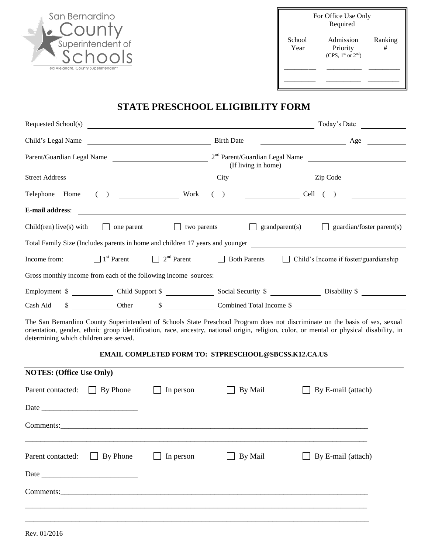| San Bernardino                       |
|--------------------------------------|
| COUNTY                               |
| Superintendent of                    |
| chools                               |
| Ted Alejandre, County Superintendent |

|                | For Office Use Only<br>Required                 |              |
|----------------|-------------------------------------------------|--------------|
| School<br>Year | Admission<br>Priority<br>(CPS, $1st$ or $2nd$ ) | Ranking<br># |
|                |                                                 |              |
|                |                                                 |              |

## **STATE PRESCHOOL ELIGIBILITY FORM**

| Requested School(s)                                             | <u> 1980 - Andrea Andrew Maria (h. 1980).</u> |                                                                                                   |  |         |                                            | Today's Date                                                                                                                                                                                                                                                              |  |
|-----------------------------------------------------------------|-----------------------------------------------|---------------------------------------------------------------------------------------------------|--|---------|--------------------------------------------|---------------------------------------------------------------------------------------------------------------------------------------------------------------------------------------------------------------------------------------------------------------------------|--|
| Birth Date<br>Child's Legal Name                                |                                               |                                                                                                   |  |         | $\overline{\phantom{a}}$ Age $\phantom{a}$ |                                                                                                                                                                                                                                                                           |  |
|                                                                 |                                               | Parent/Guardian Legal Name 2 <sup>nd</sup> Parent/Guardian Legal Name 2004<br>(If living in home) |  |         |                                            |                                                                                                                                                                                                                                                                           |  |
| <b>Street Address</b>                                           |                                               |                                                                                                   |  |         |                                            |                                                                                                                                                                                                                                                                           |  |
| Telephone Home                                                  |                                               | $( )$ Cell $( )$                                                                                  |  |         |                                            |                                                                                                                                                                                                                                                                           |  |
| E-mail address:                                                 |                                               | <u> 1989 - Johann Stoff, amerikansk politiker (* 1908)</u>                                        |  |         |                                            |                                                                                                                                                                                                                                                                           |  |
| Child(ren) live(s) with                                         | $\Box$ one parent                             | $\Box$ two parents                                                                                |  |         | $\Box$ grandparent(s)                      | guardian/foster parent(s)<br>$\perp$                                                                                                                                                                                                                                      |  |
|                                                                 |                                               |                                                                                                   |  |         |                                            | Total Family Size (Includes parents in home and children 17 years and younger                                                                                                                                                                                             |  |
| Income from:                                                    |                                               |                                                                                                   |  |         |                                            | $\Box$ 1 <sup>st</sup> Parent $\Box$ 2 <sup>nd</sup> Parent $\Box$ Both Parents $\Box$ Child's Income if foster/guardianship                                                                                                                                              |  |
| Gross monthly income from each of the following income sources: |                                               |                                                                                                   |  |         |                                            |                                                                                                                                                                                                                                                                           |  |
|                                                                 |                                               |                                                                                                   |  |         |                                            | Employment \$ _____________ Child Support \$ _______________ Social Security \$ ______________ Disability \$ ___________                                                                                                                                                  |  |
| Cash Aid                                                        |                                               |                                                                                                   |  |         |                                            | \$ Other \$ Combined Total Income \$                                                                                                                                                                                                                                      |  |
| determining which children are served.                          |                                               |                                                                                                   |  |         |                                            | The San Bernardino County Superintendent of Schools State Preschool Program does not discriminate on the basis of sex, sexual<br>orientation, gender, ethnic group identification, race, ancestry, national origin, religion, color, or mental or physical disability, in |  |
|                                                                 |                                               | <b>EMAIL COMPLETED FORM TO: STPRESCHOOL@SBCSS.K12.CA.US</b>                                       |  |         |                                            |                                                                                                                                                                                                                                                                           |  |
| <b>NOTES:</b> (Office Use Only)                                 |                                               |                                                                                                   |  |         |                                            |                                                                                                                                                                                                                                                                           |  |
| Parent contacted: By Phone                                      |                                               | In person                                                                                         |  | By Mail |                                            | By E-mail (attach)                                                                                                                                                                                                                                                        |  |
|                                                                 |                                               |                                                                                                   |  |         |                                            |                                                                                                                                                                                                                                                                           |  |
|                                                                 |                                               |                                                                                                   |  |         |                                            |                                                                                                                                                                                                                                                                           |  |
| Parent contacted:                                               | By Phone                                      | In person                                                                                         |  | By Mail |                                            | By E-mail (attach)                                                                                                                                                                                                                                                        |  |
|                                                                 |                                               |                                                                                                   |  |         |                                            |                                                                                                                                                                                                                                                                           |  |
| Comments:                                                       |                                               |                                                                                                   |  |         |                                            |                                                                                                                                                                                                                                                                           |  |
|                                                                 |                                               |                                                                                                   |  |         |                                            |                                                                                                                                                                                                                                                                           |  |